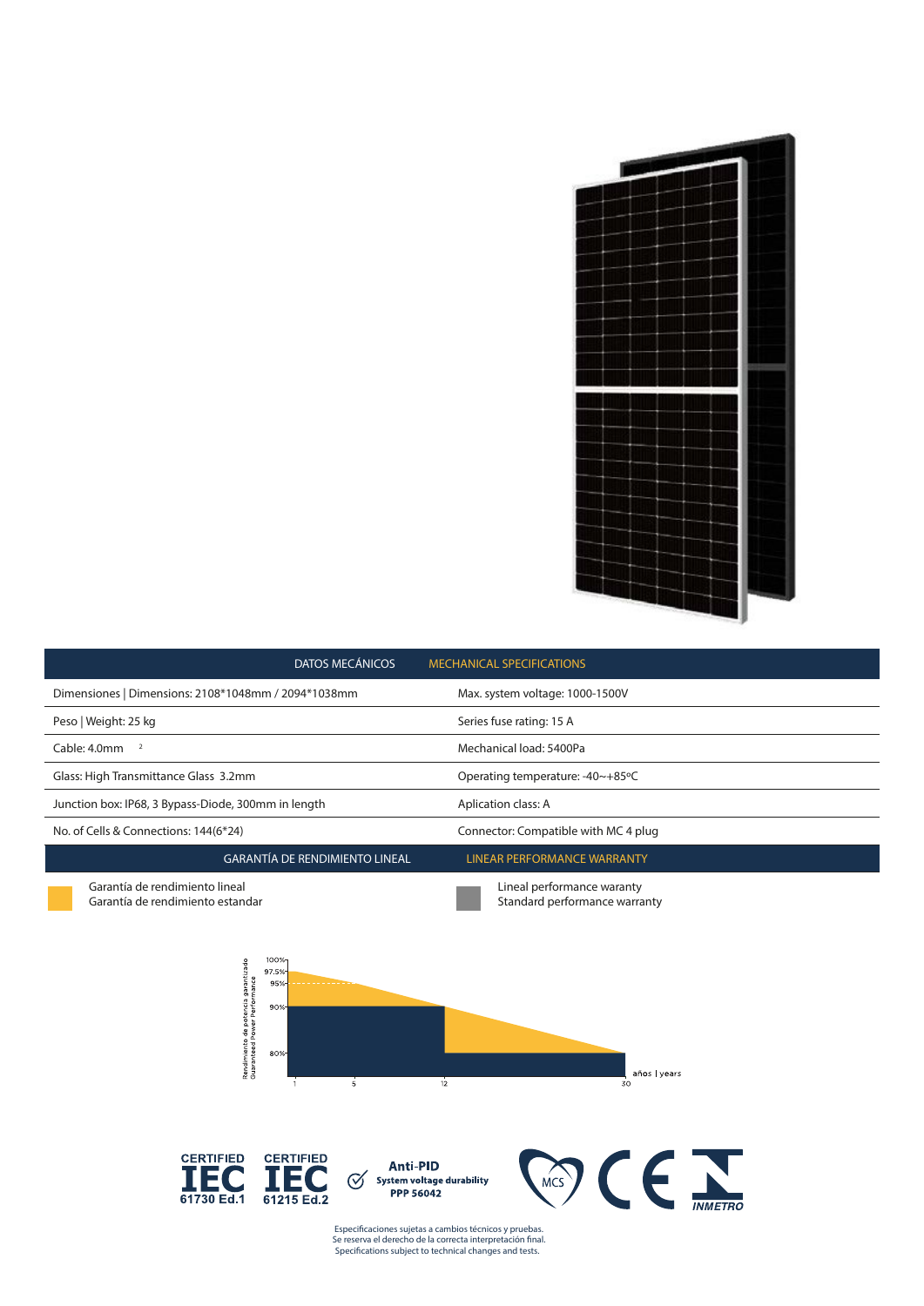| <b>DATOS MECÁNICOS</b>                                                                                                                                                                     | <b>MECHANICAL SPECIFICATIONS</b>                                                |  |  |
|--------------------------------------------------------------------------------------------------------------------------------------------------------------------------------------------|---------------------------------------------------------------------------------|--|--|
| Dimensiones   Dimensions: 2108*1048mm / 2094*1038mm                                                                                                                                        | Max. system voltage: 1000-1500V                                                 |  |  |
| Peso   Weight: 25 kg                                                                                                                                                                       | Series fuse rating: 15 A                                                        |  |  |
| Cable: 4.0mm<br>$\overline{2}$                                                                                                                                                             | Mechanical load: 5400Pa                                                         |  |  |
| Glass: High Transmittance Glass 3.2mm                                                                                                                                                      | Operating temperature: -40~+85°C                                                |  |  |
| Junction box: IP68, 3 Bypass-Diode, 300mm in length                                                                                                                                        | Aplication class: A                                                             |  |  |
| No. of Cells & Connections: 144(6*24)                                                                                                                                                      | Connector: Compatible with MC 4 plug                                            |  |  |
| <b>GARANTÍA DE RENDIMIENTO LINEAL</b>                                                                                                                                                      | <b>LINEAR PERFORMANCE WARRANTY</b>                                              |  |  |
| Garantía de rendimiento lineal<br>Garantía de rendimiento estandar<br>100%<br>Rendimiento de potencia garantizado<br>Guaranteed Power Performance<br>97.5%<br>95%<br>90%<br>80%<br>12<br>5 | Lineal performance waranty<br>Standard performance warranty<br>años vears<br>30 |  |  |
| <b>CERTIFIED</b><br><b>CERTIFIED</b><br><b>Anti-PID</b><br><b>System voltage durability</b><br>✓<br><b>PPP 56042</b><br>61730 Ed.1<br>61215 Ed.2                                           | <b>MCS</b><br><b>INMETRO</b>                                                    |  |  |

Especificaciones sujetas a cambios técnicos y pruebas. Se reserva el derecho de la correcta interpretación final. *Specifications subject to technical changes and tests.*